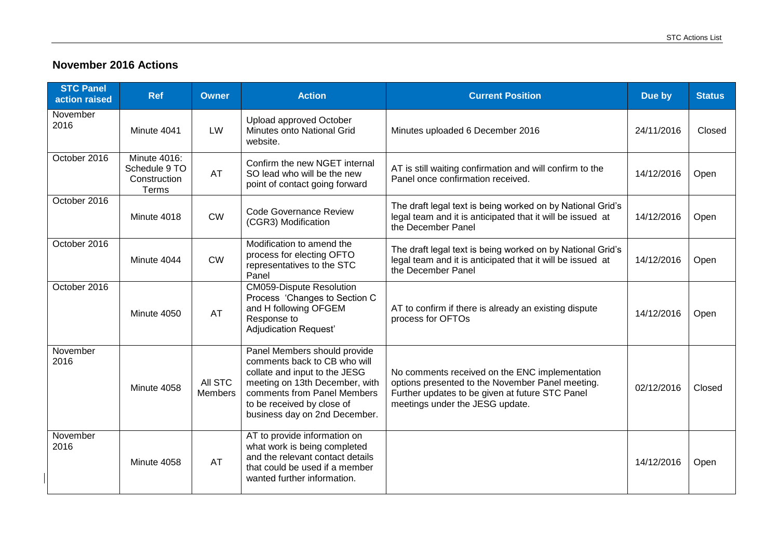## **November 2016 Actions**

| <b>STC Panel</b><br>action raised | <b>Ref</b>                                                    | Owner                     | <b>Action</b>                                                                                                                                                                                                                 | <b>Current Position</b>                                                                                                                                                                  | Due by     | <b>Status</b> |
|-----------------------------------|---------------------------------------------------------------|---------------------------|-------------------------------------------------------------------------------------------------------------------------------------------------------------------------------------------------------------------------------|------------------------------------------------------------------------------------------------------------------------------------------------------------------------------------------|------------|---------------|
| November<br>2016                  | Minute 4041                                                   | LW                        | <b>Upload approved October</b><br>Minutes onto National Grid<br>website.                                                                                                                                                      | Minutes uploaded 6 December 2016                                                                                                                                                         | 24/11/2016 | Closed        |
| October 2016                      | <b>Minute 4016:</b><br>Schedule 9 TO<br>Construction<br>Terms | AT                        | Confirm the new NGET internal<br>SO lead who will be the new<br>point of contact going forward                                                                                                                                | AT is still waiting confirmation and will confirm to the<br>Panel once confirmation received.                                                                                            | 14/12/2016 | Open          |
| October 2016                      | Minute 4018                                                   | <b>CW</b>                 | <b>Code Governance Review</b><br>(CGR3) Modification                                                                                                                                                                          | The draft legal text is being worked on by National Grid's<br>legal team and it is anticipated that it will be issued at<br>the December Panel                                           | 14/12/2016 | Open          |
| October 2016                      | Minute 4044                                                   | <b>CW</b>                 | Modification to amend the<br>process for electing OFTO<br>representatives to the STC<br>Panel                                                                                                                                 | The draft legal text is being worked on by National Grid's<br>legal team and it is anticipated that it will be issued at<br>the December Panel                                           | 14/12/2016 | Open          |
| October 2016                      | Minute 4050                                                   | <b>AT</b>                 | <b>CM059-Dispute Resolution</b><br>Process 'Changes to Section C<br>and H following OFGEM<br>Response to<br>Adjudication Request'                                                                                             | AT to confirm if there is already an existing dispute<br>process for OFTOs                                                                                                               | 14/12/2016 | Open          |
| November<br>2016                  | Minute 4058                                                   | All STC<br><b>Members</b> | Panel Members should provide<br>comments back to CB who will<br>collate and input to the JESG<br>meeting on 13th December, with<br>comments from Panel Members<br>to be received by close of<br>business day on 2nd December. | No comments received on the ENC implementation<br>options presented to the November Panel meeting.<br>Further updates to be given at future STC Panel<br>meetings under the JESG update. | 02/12/2016 | Closed        |
| November<br>2016                  | Minute 4058                                                   | <b>AT</b>                 | AT to provide information on<br>what work is being completed<br>and the relevant contact details<br>that could be used if a member<br>wanted further information.                                                             |                                                                                                                                                                                          | 14/12/2016 | Open          |